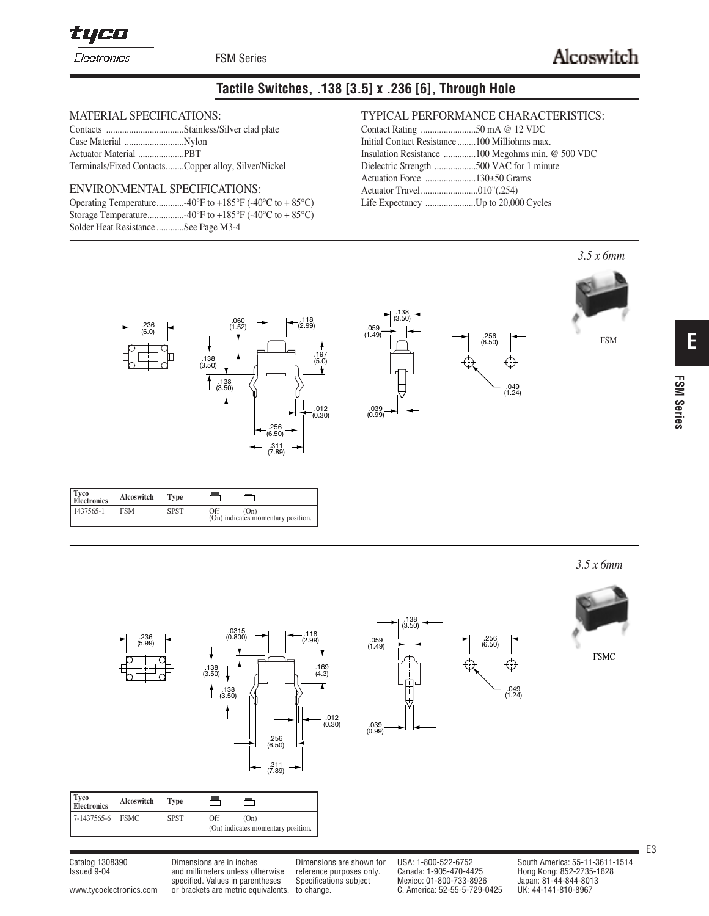tyco

FSM Series

# **Tactile Switches, .138 [3.5] x .236 [6], Through Hole**

.138

.138 (3.50)

.039 (0.99)

.059  $(1.49)$ 

## MATERIAL SPECIFICATIONS:

| Terminals/Fixed ContactsCopper alloy, Silver/Nickel |  |
|-----------------------------------------------------|--|

#### ENVIRONMENTAL SPECIFICATIONS:

| Solder Heat Resistance See Page M3-4 |
|--------------------------------------|

## TYPICAL PERFORMANCE CHARACTERISTICS:

| Initial Contact Resistance 100 Milliohms max. |  |
|-----------------------------------------------|--|
|                                               |  |
| Dielectric Strength 500 VAC for 1 minute      |  |
|                                               |  |
|                                               |  |
|                                               |  |

 $.256$ <br>(6.50)

256.<br>(6.50)

.049 (1.24)

⊕

.049 (1.24)

⊕



| Tyco<br>Electronics | Alcoswitch | <b>Type</b> |                                                   |
|---------------------|------------|-------------|---------------------------------------------------|
| 1437565-1           | <b>FSM</b> | <b>SPST</b> | Off<br>(On)<br>(On) indicates momentary position. |

*3.5 x 6mm*

FSM

| x omm |  |
|-------|--|
|       |  |

FSMC



| Tyco<br>Electronics | Alcoswitch | Tvpe        |     |                                            |
|---------------------|------------|-------------|-----|--------------------------------------------|
| 7-1437565-6 FSMC    |            | <b>SPST</b> | Off | (On)<br>(On) indicates momentary position. |

Catalog 1308390 Dimensions are in inches Dimensions are shown for USA: 1-800-522-6752 South America: 55-11-3611-1514<br>Issued 9-04 and millimeters unless otherwise reference purposes only. Canada: 1-905-470-4425 Hong Kong: 8 and millimeters unless otherwise reference purposes only. specified. Values in parentheses Specifications subject Mexico: 01-800-733-8926<br>or brackets are metric equivalents. to change. <br>C. America: 52-55-5-729-0425 www.tycoelectronics.com or brackets are metric equivalents. to change.

E3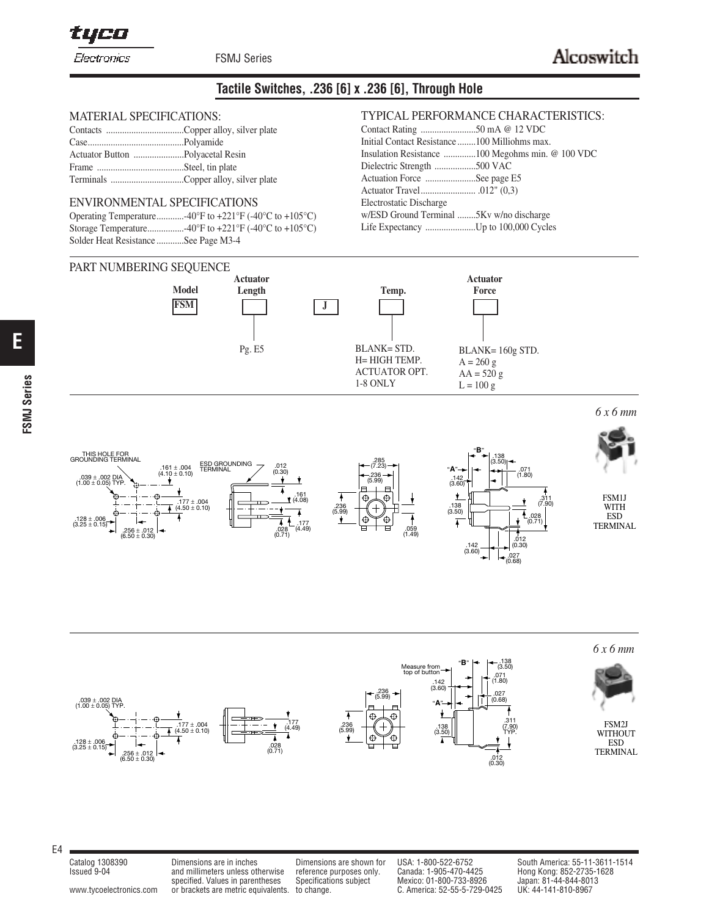# **Tactile Switches, .236 [6] x .236 [6], Through Hole**

#### MATERIAL SPECIFICATIONS:

#### ENVIRONMENTAL SPECIFICATIONS

| Solder Heat Resistance See Page M3-4 |  |
|--------------------------------------|--|

#### PART NUMBERING SEQUENCE

#### TYPICAL PERFORMANCE CHARACTERISTICS:  $50 \text{ mA}$   $\odot$  12 VDC

| Initial Contact Resistance 100 Milliohms max. |  |
|-----------------------------------------------|--|
|                                               |  |
| Dielectric Strength 500 VAC                   |  |
| Actuation Force See page E5                   |  |
|                                               |  |
| Electrostatic Discharge                       |  |
| w/ESD Ground Terminal 5Kv w/no discharge      |  |
|                                               |  |
|                                               |  |



*6 x 6 mm*





E4

**E**

**FSMJ Series**

**FSMJ Series** 

Issued 9-04 and millimeters unless otherwise reference purposes only. Canada: 1-905-470-4425 Hong Kong: 852-2735-1628 . and millimeters unless otherwise reference purposes only. Canada: 1-905-470-4425 Hong Kong: 852-2735<br>specified. Values in parentheses Specifications subject Mexico: 01-800-733-8926 Japan: 81-44-844-801<br>or brackets are metr www.tycoelectronics.com or brackets are metric equivalents. to change. C. America: 52-55-5-729-0425

Catalog 1308390 Dimensions are in inches Dimensions are shown for USA: 1-800-522-6752 South America: 55-11-3611-1514<br>Issued 9-04 and millimeters unless otherwise reference purposes only. Canada: 1-905-470-4425 Hong Kong: 8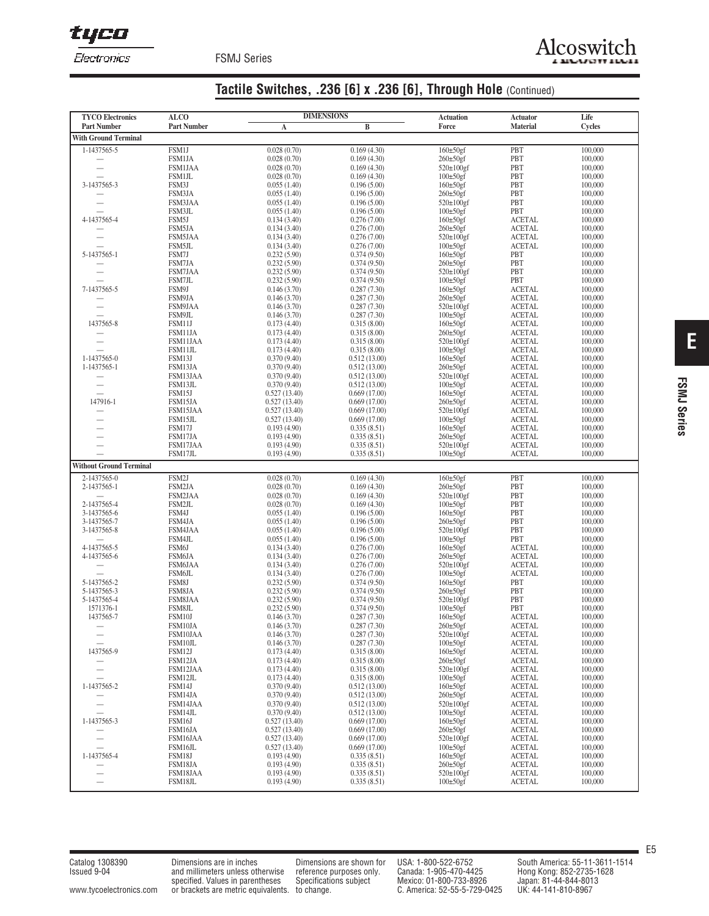tyco

FSMJ Series

# **Tactile Switches, .236 [6] x .236 [6], Through Hole** (Continued)

| <b>TYCO Electronics</b>                              | <b>ALCO</b>                     | <b>DIMENSIONS</b>            |                              | <b>Actuation</b>                  | <b>Actuator</b>                | Life               |
|------------------------------------------------------|---------------------------------|------------------------------|------------------------------|-----------------------------------|--------------------------------|--------------------|
| <b>Part Number</b>                                   | <b>Part Number</b>              | A                            | B                            | Force                             | <b>Material</b>                | <b>Cycles</b>      |
| <b>With Ground Terminal</b>                          |                                 |                              |                              |                                   |                                |                    |
| 1-1437565-5                                          | FSM1J                           | 0.028(0.70)                  | 0.169(4.30)                  | $160\pm50$ gf                     | PBT                            | 100,000            |
|                                                      | <b>FSM1JA</b>                   | 0.028(0.70)                  | 0.169(4.30)                  | 260±50gf<br>$520\pm100$ gf        | PBT                            | 100,000            |
| $\overline{\phantom{0}}$                             | <b>FSM1JAA</b><br><b>FSM1JL</b> | 0.028(0.70)<br>0.028(0.70)   | 0.169(4.30)<br>0.169(4.30)   | $100\pm50$ gf                     | PBT<br>PBT                     | 100,000<br>100,000 |
| 3-1437565-3                                          | FSM3J                           | 0.055(1.40)                  | 0.196(5.00)                  | $160\pm50$ gf                     | PBT                            | 100,000            |
|                                                      | FSM3JA                          | 0.055(1.40)                  | 0.196(5.00)                  | $260\pm50$ gf                     | PBT                            | 100,000            |
| $\overline{\phantom{0}}$                             | FSM3JAA                         | 0.055(1.40)                  | 0.196(5.00)                  | 520±100gf                         | PBT                            | 100,000            |
| 4-1437565-4                                          | FSM3JL<br>FSM5J                 | 0.055(1.40)<br>0.134(3.40)   | 0.196(5.00)<br>0.276(7.00)   | $100\pm50$ gf<br>$160\pm50$ gf    | PBT<br><b>ACETAL</b>           | 100,000<br>100,000 |
|                                                      | FSM5JA                          | 0.134(3.40)                  | 0.276(7.00)                  | $260\pm50$ gf                     | <b>ACETAL</b>                  | 100,000            |
| $\overline{\phantom{0}}$                             | FSM5JAA                         | 0.134(3.40)                  | 0.276(7.00)                  | 520±100gf                         | <b>ACETAL</b>                  | 100,000            |
|                                                      | FSM5JL                          | 0.134(3.40)<br>0.232(5.90)   | 0.276(7.00)                  | $100\pm50$ gf                     | <b>ACETAL</b>                  | 100,000            |
| 5-1437565-1                                          | FSM7J<br>FSM7JA                 | 0.232(5.90)                  | 0.374(9.50)<br>0.374(9.50)   | $160\pm50$ gf<br>$260\pm50$ gf    | PBT<br>PBT                     | 100,000<br>100,000 |
| $\overline{\phantom{0}}$                             | FSM7JAA                         | 0.232(5.90)                  | 0.374(9.50)                  | 520±100gf                         | PBT                            | 100,000            |
|                                                      | FSM7JL                          | 0.232(5.90)                  | 0.374(9.50)                  | $100\pm50$ gf                     | PBT                            | 100,000            |
| 7-1437565-5                                          | FSM9J<br>FSM9JA                 | 0.146(3.70)                  | 0.287(7.30)                  | $160\pm50$ gf<br>$260\pm50$ gf    | <b>ACETAL</b><br><b>ACETAL</b> | 100,000<br>100,000 |
| $\overline{\phantom{0}}$                             | FSM9JAA                         | 0.146(3.70)<br>0.146(3.70)   | 0.287(7.30)<br>0.287(7.30)   | 520±100gf                         | <b>ACETAL</b>                  | 100,000            |
|                                                      | FSM9JL                          | 0.146(3.70)                  | 0.287(7.30)                  | $100\pm50$ gf                     | <b>ACETAL</b>                  | 100,000            |
| 1437565-8                                            | FSM11J                          | 0.173(4.40)                  | 0.315(8.00)                  | $160\pm50$ gf                     | <b>ACETAL</b>                  | 100,000            |
| $\overline{\phantom{0}}$                             | FSM11JA<br>FSM11JAA             | 0.173(4.40)<br>0.173(4.40)   | 0.315(8.00)<br>0.315(8.00)   | $260\pm50$ gf<br>520±100gf        | <b>ACETAL</b><br><b>ACETAL</b> | 100,000<br>100,000 |
|                                                      | FSM11JL                         | 0.173(4.40)                  | 0.315(8.00)                  | $100\pm50$ gf                     | <b>ACETAL</b>                  | 100,000            |
| 1-1437565-0                                          | FSM13J                          | 0.370(9.40)                  | 0.512(13.00)                 | $160\pm50$ gf                     | <b>ACETAL</b>                  | 100,000            |
| 1-1437565-1                                          | FSM13JA                         | 0.370(9.40)                  | 0.512(13.00)                 | $260\pm50$ gf                     | <b>ACETAL</b>                  | 100,000            |
| $\overline{\phantom{0}}$                             | FSM13JAA                        | 0.370(9.40)                  | 0.512(13.00)                 | 520±100gf<br>$100\pm50$ gf        | <b>ACETAL</b><br><b>ACETAL</b> | 100,000            |
| $\overline{\phantom{0}}$                             | FSM13JL<br>FSM15J               | 0.370(9.40)<br>0.527(13.40)  | 0.512(13.00)<br>0.669(17.00) | $160\pm50$ gf                     | <b>ACETAL</b>                  | 100,000<br>100,000 |
| 147916-1                                             | FSM15JA                         | 0.527(13.40)                 | 0.669(17.00)                 | $260\pm50$ gf                     | <b>ACETAL</b>                  | 100,000            |
|                                                      | FSM15JAA                        | 0.527(13.40)                 | 0.669(17.00)                 | 520±100gf                         | <b>ACETAL</b>                  | 100,000            |
| $\overline{\phantom{0}}$                             | FSM15JL<br>FSM17J               | 0.527(13.40)<br>0.193(4.90)  | 0.669(17.00)<br>0.335(8.51)  | $100\pm50gf$<br>$160\pm50$ gf     | <b>ACETAL</b><br><b>ACETAL</b> | 100,000<br>100,000 |
| $\overline{\phantom{a}}$                             | FSM17JA                         | 0.193(4.90)                  | 0.335(8.51)                  | $260\pm50$ gf                     | <b>ACETAL</b>                  | 100,000            |
| ÷                                                    | FSM17JAA                        | 0.193(4.90)                  | 0.335(8.51)                  | $520 \pm 100$ gf                  | <b>ACETAL</b>                  | 100,000            |
|                                                      | FSM17JL                         | 0.193(4.90)                  | 0.335(8.51)                  | $100\pm50$ gf                     | <b>ACETAL</b>                  | 100,000            |
| <b>Without Ground Terminal</b>                       |                                 |                              |                              |                                   |                                |                    |
| 2-1437565-0                                          | FSM2J                           | 0.028(0.70)                  | 0.169(4.30)                  | $160\pm50$ gf                     | PBT                            | 100,000            |
| 2-1437565-1                                          | FSM2JA<br>FSM2JAA               | 0.028(0.70)<br>0.028(0.70)   | 0.169(4.30)<br>0.169(4.30)   | 260±50gf<br>$520\pm100$ gf        | PBT<br>PBT                     | 100,000<br>100,000 |
| 2-1437565-4                                          | FSM2JL                          | 0.028(0.70)                  | 0.169(4.30)                  | $100\pm50$ gf                     | PBT                            | 100,000            |
| 3-1437565-6                                          | FSM4J                           | 0.055(1.40)                  | 0.196(5.00)                  | $160\pm50$ gf                     | PBT                            | 100,000            |
| 3-1437565-7                                          | FSM4JA                          | 0.055(1.40)                  | 0.196(5.00)                  | $260\pm50$ gf                     | PBT                            | 100,000            |
| 3-1437565-8                                          | FSM4JAA<br>FSM4JL               | 0.055(1.40)<br>0.055(1.40)   | 0.196(5.00)<br>0.196(5.00)   | $520 \pm 100$ gf<br>$100\pm50$ gf | PBT<br>PBT                     | 100,000<br>100,000 |
| 4-1437565-5                                          | FSM6J                           | 0.134(3.40)                  | 0.276(7.00)                  | $160\pm50$ gf                     | <b>ACETAL</b>                  | 100,000            |
| 4-1437565-6                                          | FSM6JA                          | 0.134(3.40)                  | 0.276(7.00)                  | 260±50gf                          | <b>ACETAL</b>                  | 100,000            |
|                                                      | FSM6JAA                         | 0.134(3.40)                  | 0.276(7.00)                  | $520 \pm 100$ gf                  | <b>ACETAL</b>                  | 100,000            |
| 5-1437565-2                                          | FSM6JL<br>FSM8J                 | 0.134(3.40)<br>0.232(5.90)   | 0.276(7.00)<br>0.374(9.50)   | $100\pm50$ gf<br>$160\pm50$ gf    | <b>ACETAL</b><br>PBT           | 100,000<br>100,000 |
| 5-1437565-3                                          | FSM8JA                          | 0.232(5.90)                  | 0.374(9.50)                  | 260±50gf                          | PBT                            | 100,000            |
| 5-1437565-4                                          | FSM8JAA                         | 0.232(5.90)                  | 0.374(9.50)                  | $520 \pm 100$ gf                  | PBT                            | 100,000            |
| 1571376-1<br>1437565-7                               | FSM8JL<br>FSM10J                | 0.232(5.90)                  | 0.374(9.50)<br>0.287(7.30)   | $100\pm50$ gf<br>$160\pm50$ gf    | PBT<br><b>ACETAL</b>           | 100,000<br>100,000 |
| -                                                    | FSM10JA                         | 0.146(3.70)<br>0.146(3.70)   | 0.287(7.30)                  | $260\pm50gf$                      | <b>ACETAL</b>                  | 100,000            |
| $\overline{\phantom{0}}$                             | FSM10JAA                        | 0.146(3.70)                  | 0.287(7.30)                  | $520\pm100$ gf                    | <b>ACETAL</b>                  | 100,000            |
| $\overline{\phantom{0}}$                             | FSM10JL                         | 0.146(3.70)                  | 0.287(7.30)                  | $100\pm50$ gf                     | <b>ACETAL</b>                  | 100,000            |
| 1437565-9                                            | FSM12J<br>FSM12JA               | 0.173(4.40)<br>0.173(4.40)   | 0.315(8.00)<br>0.315(8.00)   | $160\pm50$ gf<br>$260\pm50$ gf    | <b>ACETAL</b><br><b>ACETAL</b> | 100,000<br>100,000 |
| —                                                    | FSM12JAA                        | 0.173(4.40)                  | 0.315(8.00)                  | $520\pm100$ gf                    | <b>ACETAL</b>                  | 100,000            |
| $\overline{\phantom{a}}$                             | FSM12JL                         | 0.173(4.40)                  | 0.315(8.00)                  | $100\pm50$ gf                     | <b>ACETAL</b>                  | 100,000            |
| 1-1437565-2                                          | FSM14J                          | 0.370(9.40)                  | 0.512(13.00)                 | $160\pm50$ gf                     | <b>ACETAL</b>                  | 100,000            |
| $\overline{\phantom{0}}$                             | FSM14JA<br>FSM14JAA             | 0.370(9.40)<br>0.370(9.40)   | 0.512(13.00)<br>0.512(13.00) | $260\pm50$ gf<br>$520\pm100$ gf   | <b>ACETAL</b><br><b>ACETAL</b> | 100,000<br>100,000 |
| $\overline{\phantom{0}}$                             | FSM14JL                         | 0.370(9.40)                  | 0.512(13.00)                 | $100\pm50$ gf                     | <b>ACETAL</b>                  | 100,000            |
| 1-1437565-3                                          | FSM16J                          | 0.527(13.40)                 | 0.669(17.00)                 | $160\pm50$ gf                     | <b>ACETAL</b>                  | 100,000            |
|                                                      | FSM16JA                         | 0.527(13.40)                 | 0.669(17.00)                 | $260\pm50$ gf                     | <b>ACETAL</b>                  | 100,000            |
| $\overline{\phantom{0}}$<br>$\overline{\phantom{0}}$ | FSM16JAA<br>FSM16JL             | 0.527(13.40)<br>0.527(13.40) | 0.669(17.00)<br>0.669(17.00) | $520\pm100$ gf<br>$100\pm50$ gf   | <b>ACETAL</b><br><b>ACETAL</b> | 100,000<br>100,000 |
| 1-1437565-4                                          | FSM18J                          | 0.193(4.90)                  | 0.335(8.51)                  | $160\pm50$ gf                     | <b>ACETAL</b>                  | 100,000            |
|                                                      | FSM18JA                         | 0.193(4.90)                  | 0.335(8.51)                  | $260\pm50$ gf                     | <b>ACETAL</b>                  | 100,000            |
| —                                                    | FSM18JAA                        | 0.193(4.90)                  | 0.335(8.51)                  | $520\pm100$ gf                    | <b>ACETAL</b>                  | 100,000            |
| $\overline{\phantom{0}}$                             | FSM18JL                         | 0.193(4.90)                  | 0.335(8.51)                  | $100\pm 50$ gf                    | ACETAL                         | 100,000            |

**E**

E5

Catalog 1308390 Dimensions are in inches Dimensions are shown for USA: 1-800-522-6752 South America: 55-11-3611-1514<br>Issued 9-04 and millimeters unless otherwise reference purposes only. Canada: 1-905-470-4425 Hong Kong: 8 Issued 9-04 and millimeters unless otherwise reference purposes only. Canada: 1-905-470-4425 Hong Kong: 852-2735-1628 specified. Values in parentheses Specifications subject Mexico: 01-800-733-8926 Japan: 81-44-844-8013 www.tycoelectronics.com or brackets are metric equivalents. to change.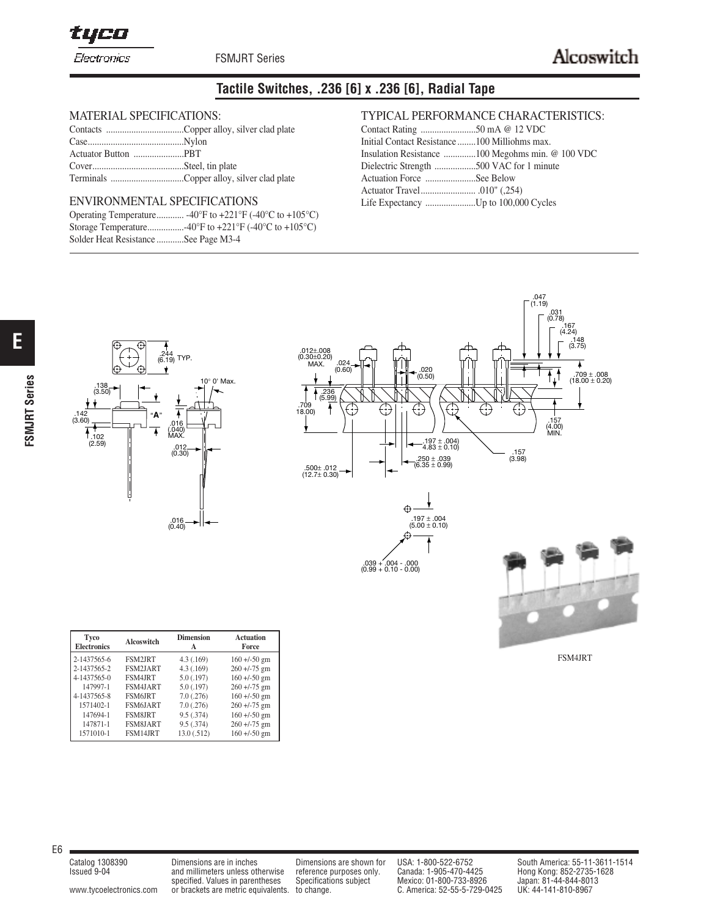tyco

FSMJRT Series

# **Tactile Switches, .236 [6] x .236 [6], Radial Tape**

### MATERIAL SPECIFICATIONS:

#### ENVIRONMENTAL SPECIFICATIONS

|                                      | Operating Temperature -40°F to +221°F (-40°C to +105°C) |
|--------------------------------------|---------------------------------------------------------|
|                                      |                                                         |
| Solder Heat Resistance See Page M3-4 |                                                         |

## TYPICAL PERFORMANCE CHARACTERISTICS:

| Initial Contact Resistance 100 Milliohms max. |  |
|-----------------------------------------------|--|
|                                               |  |
| Dielectric Strength 500 VAC for 1 minute      |  |
| Actuation Force See Below                     |  |
|                                               |  |
| Life Expectancy Up to 100,000 Cycles          |  |







FSM4JRT

| <b>Tyco</b><br><b>Electronics</b> | Alcoswitch      | <b>Dimension</b><br>A | <b>Actuation</b><br>Force |
|-----------------------------------|-----------------|-----------------------|---------------------------|
| 2-1437565-6                       | <b>FSM2JRT</b>  | 4.3(0.169)            | $160 + (-50)$ gm          |
| 2-1437565-2                       | <b>FSM2JART</b> | 4.3(0.169)            | $260 + (-75)$ gm          |
| 4-1437565-0                       | FSM4JRT         | $5.0$ $(.197)$        | $160 + (-50)$ gm          |
| 147997-1                          | FSM4JART        | $5.0$ $(.197)$        | $260 + (-75)$ gm          |
| 4-1437565-8                       | <b>FSM6JRT</b>  | 7.0(.276)             | $160 + (-50)$ gm          |
| 1571402-1                         | FSM6JART        | 7.0(.276)             | $260 + (-75)$ gm          |
| 147694-1                          | <b>FSM8JRT</b>  | 9.5(.374)             | $160 + (-50)$ gm          |
| 147871-1                          | <b>FSM8JART</b> | 9.5(.374)             | $260 + (-75)$ gm          |
| 1571010-1                         | FSM14JRT        | 13.0 (.512)           | $160 + (-50)$ gm          |

E6

**E**

**FSMJRT Series**

**FSMJRT Series** 

and millimeters unless otherwise reference purposes only. specified. Values in parentheses Specifications subject Mexico: 01-800-733-8926<br>or brackets are metric equivalents. to change. <br>C. America: 52-55-5-729-0425 www.tycoelectronics.com or brackets are metric equivalents. to change.

Catalog 1308390 Dimensions are in inches Dimensions are shown for USA: 1-800-522-6752 South America: 55-11-3611-1514<br>Issued 9-04 and millimeters unless otherwise reference purposes only. Canada: 1-905-470-4425 Hong Kong: 8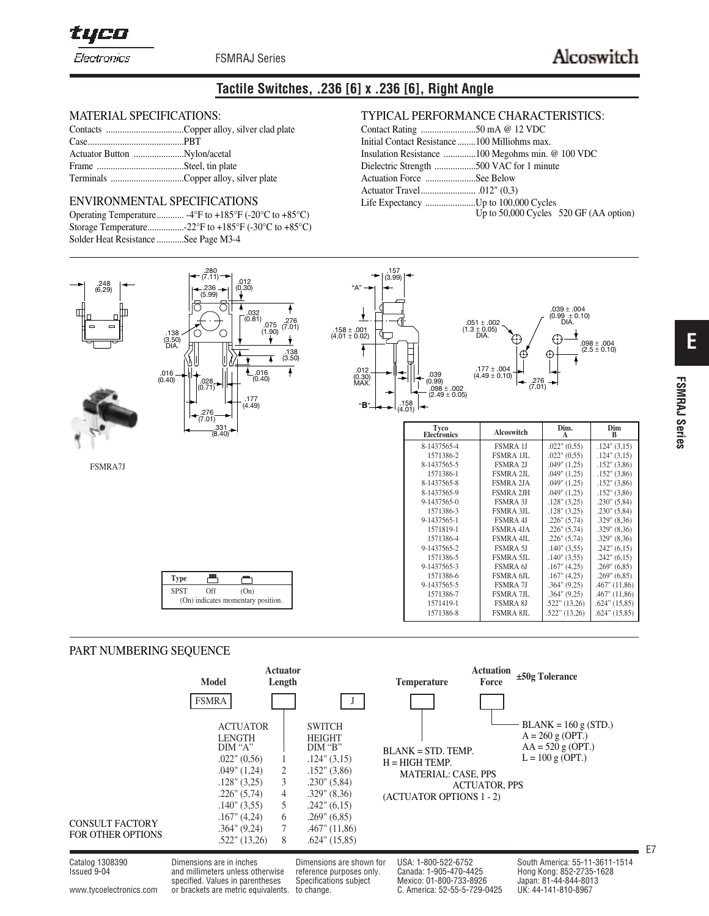tyco

FSMRAJ Series

## **Tactile Switches, .236 [6] x .236 [6], Right Angle**

#### MATERIAL SPECIFICATIONS:

# ENVIRONMENTAL SPECIFICATIONS

|                                      | Operating Temperature -4°F to +185°F (-20°C to +85°C) |
|--------------------------------------|-------------------------------------------------------|
|                                      |                                                       |
| Solder Heat Resistance See Page M3-4 |                                                       |

#### TYPICAL PERFORMANCE CHARACTERISTICS:

| Initial Contact Resistance 100 Milliohms max. |                                        |
|-----------------------------------------------|----------------------------------------|
|                                               |                                        |
| Dielectric Strength 500 VAC for 1 minute      |                                        |
| Actuation Force See Below                     |                                        |
|                                               |                                        |
|                                               | Up to 50,000 Cycles 520 GF (AA option) |



#### PART NUMBERING SEQUENCE

|                                                    | <b>Model</b>                                                                                                                                                                                                                        | <b>Actuator</b><br>Length  |                                                                                                                                                                                                                     | <b>Temperature</b>                                                                                 | <b>Actuation</b><br>Force | $\pm 50$ g Tolerance                                                                      |    |
|----------------------------------------------------|-------------------------------------------------------------------------------------------------------------------------------------------------------------------------------------------------------------------------------------|----------------------------|---------------------------------------------------------------------------------------------------------------------------------------------------------------------------------------------------------------------|----------------------------------------------------------------------------------------------------|---------------------------|-------------------------------------------------------------------------------------------|----|
| <b>CONSULT FACTORY</b><br><b>FOR OTHER OPTIONS</b> | <b>FSMRA</b><br><b>ACTUATOR</b><br><b>LENGTH</b><br>DM "A"<br>$.022$ " $(0.56)$<br>$.049$ " $(1,24)$<br>$.128$ " $(3.25)$<br>$.226$ " $(5.74)$<br>$.140$ " $(3,55)$<br>$.167$ " $(4.24)$<br>$.364$ " $(9,24)$<br>$.522$ " $(13,26)$ | 2<br>3<br>4<br>5<br>6<br>8 | <b>SWITCH</b><br><b>HEIGHT</b><br>DIM 'B'<br>$.124$ " $(3,15)$<br>$.152$ " $(3,86)$<br>$.230$ " $(5,84)$<br>$.329$ " $(8,36)$<br>$.242$ " $(6,15)$<br>$.269$ " $(6,85)$<br>$.467$ " $(11,86)$<br>$.624$ " $(15,85)$ | $BLANK = STD. TEMP.$<br>$H = HIGH$ TEMP.<br><b>MATERIAL: CASE, PPS</b><br>(ACTUATOR OPTIONS 1 - 2) | <b>ACTUATOR, PPS</b>      | $BLANK = 160 g (STD.)$<br>$A = 260$ g (OPT.)<br>$AA = 520 g (OPT.)$<br>$L = 100$ g (OPT.) | E7 |

Catalog 1308390 Dimensions are in inches Dimensions are shown for USA: 1-800-522-6752 South America: 55-11-3611-1514<br>Issued 9-04 and millimeters unless otherwise reference purposes only. Canada: 1-905-470-4425 Hong Kong: 8 Issued 9-04 **and millimeters unless otherwise** reference purposes only. Canada: 1-905-470-4425 specified. Values in parentheses Specifications subject Mexico: 01-800-733-8926 www.tycoelectronics.com or brackets are metric equivalents. to change. C. America: 52-55-5-729-0425 UK: 44-141-810-8967

**E**

**FSMRAJ Series**

**FSMRAJ Series**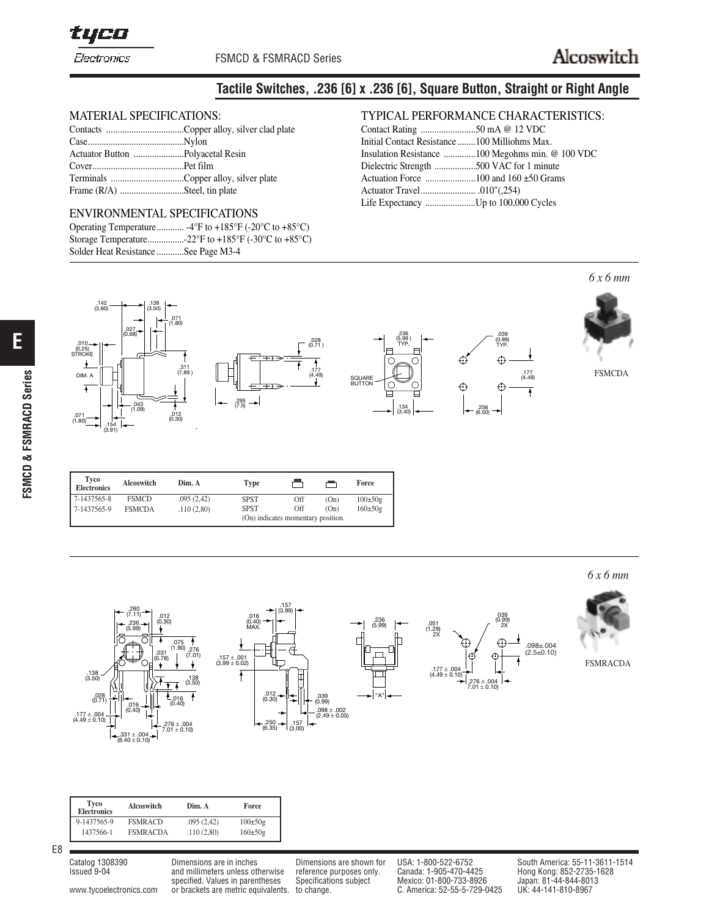

# **Tactile Switches, .236 [6] x .236 [6], Square Button, Straight or Right Angle**

### MATERIAL SPECIFICATIONS:

| Frame (R/A) Steel, tin plate |  |
|------------------------------|--|
|                              |  |

#### ENVIRONMENTAL SPECIFICATIONS

|                                      | Operating Temperature $-4^{\circ}F$ to $+185^{\circ}F$ (-20 $^{\circ}C$ to $+85^{\circ}C$ ) |
|--------------------------------------|---------------------------------------------------------------------------------------------|
|                                      |                                                                                             |
| Solder Heat Resistance See Page M3-4 |                                                                                             |

STROKE

## TYPICAL PERFORMANCE CHARACTERISTICS:

| Initial Contact Resistance 100 Milliohms Max. |                                                  |
|-----------------------------------------------|--------------------------------------------------|
|                                               | Insulation Resistance 100 Megohms min. @ 100 VDC |
| Dielectric Strength 500 VAC for 1 minute      |                                                  |
|                                               |                                                  |
|                                               |                                                  |
|                                               |                                                  |
|                                               |                                                  |

#### *6 x 6 mm*  $.142$   $.138$ <br>(3.60)  $(3.60)$ 38<br>50) .071  $\rightarrow$ (1.80)  $\sim$  1 .027  $\alpha$ .236 (0.68) .039 (5.99 ) (5.99 ) (0.99)  $\overline{\phantom{0}}$ .028 (0.71 ) ـــ 010.<br>(0.25)<br>STROKE TYP. TYP. TYP. TYP. STROKE ł € ↔  $\ddot{\phantom{1}}$ .311 (7.89 ) .177 FSMCDA DIM. A .177 (4.49)  $491$  (4.49)  $\mathbb{I}^{\bullet\bullet}$ SQUARE BUTTON क़ ¢. 4  $\overline{\mathbf{f}}$ .295 (7.5) .043 (1.09) .134 .256 (6.50) (3.40) .071 .012 (0.30) .071 (1.80) .154 (3.91) .028

.236 (5.99)

"A"

| 7-1437565-8<br><b>FSMCD</b><br>.095(2.42)<br>Off<br><b>SPST</b><br>(On)<br>Off<br><b>SPST</b><br>(On)<br>7-1437565-9<br>.110(2.80)<br><b>FSMCDA</b><br>(On) indicates momentary position. | Tyco<br><b>Electronics</b> | Alcoswitch | Dim. A | <b>Type</b> |  | Force         |
|-------------------------------------------------------------------------------------------------------------------------------------------------------------------------------------------|----------------------------|------------|--------|-------------|--|---------------|
|                                                                                                                                                                                           |                            |            |        |             |  | $100 \pm 50g$ |
|                                                                                                                                                                                           |                            |            |        |             |  | $160 \pm 50g$ |
|                                                                                                                                                                                           |                            |            |        |             |  |               |

*6 x 6 mm*





.177 <sup>±</sup> .004 (4.49 <sup>±</sup> 0.10)



FSMRACDA

| <b>Tyco</b><br><b>Electronics</b> | Alcoswitch      | Dim. A     | Force         |
|-----------------------------------|-----------------|------------|---------------|
| 9-1437565-9                       | <b>FSMRACD</b>  | .095(2.42) | $100 \pm 50g$ |
| 1437566-1                         | <b>FSMRACDA</b> | .110(2.80) | $160 \pm 50g$ |

E8

www.tycoelectronics.com or brackets are metric equivalents. to change. C. America: 52-55-5-729-0425

and millimeters unless otherwise reference purposes only.

specified. Values in parentheses Specifications subject Mexico: 01-800-733-8926 Japan: 81-44-844-801<br>1996) C. America: 52-55-5-729-0425 UK: 44-141-810-8967

Catalog 1308390 Dimensions are in inches Dimensions are shown for USA: 1-800-522-6752 South America: 55-11-3611-1514<br>Issued 9-04 and millimeters unless otherwise reference purposes only. Canada: 1-905-470-4425 Hong Kong: 8

.256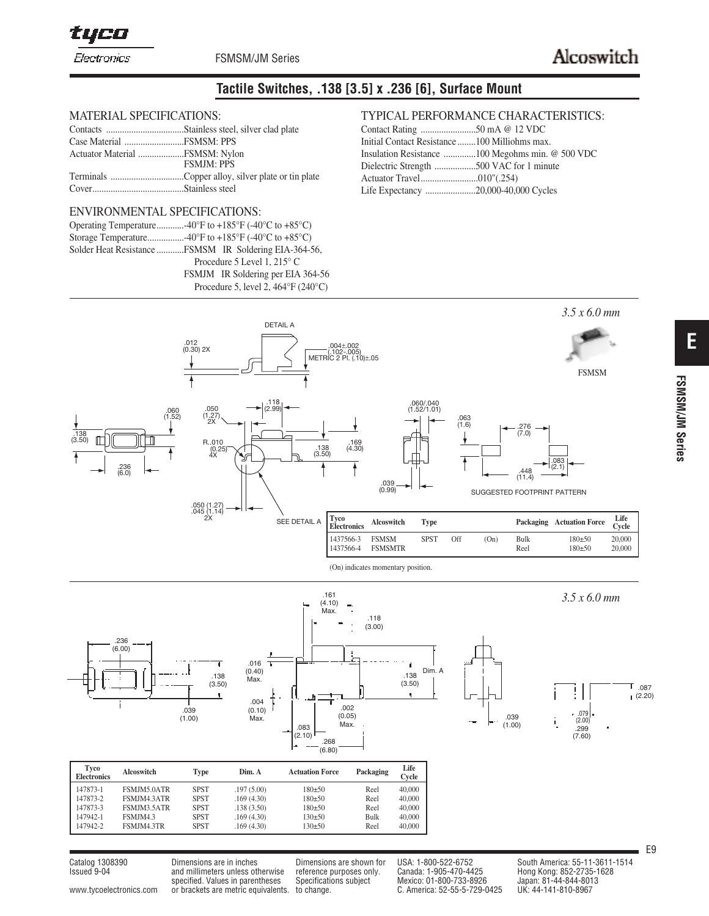tyco

Electronics

FSMSM/JM Series

# **Tactile Switches, .138 [3.5] x .236 [6], Surface Mount**

## MATERIAL SPECIFICATIONS:

| Actuator Material FSMSM: Nylon |                   |
|--------------------------------|-------------------|
|                                | <b>FSMJM: PPS</b> |
|                                |                   |
|                                |                   |

#### ENVIRONMENTAL SPECIFICATIONS:

|  | Solder Heat Resistance FSMSM IR Soldering EIA-364-56, |
|--|-------------------------------------------------------|
|  | Procedure 5 Level 1, $215^{\circ}$ C                  |
|  | FSMJM IR Soldering per EIA 364-56                     |
|  | Procedure 5, level 2, $464^{\circ}F(240^{\circ}C)$    |

## TYPICAL PERFORMANCE CHARACTERISTICS:

| Initial Contact Resistance 100 Milliohms max. |                                          |
|-----------------------------------------------|------------------------------------------|
|                                               |                                          |
|                                               | Dielectric Strength 500 VAC for 1 minute |
|                                               |                                          |
| Life Expectancy 20,000-40,000 Cycles          |                                          |





| <b>Electronics</b> | AICOSWItch  | 1 vpe       | DIM. A     | Actuation Force | <b>Packaging</b> | Cycle  |
|--------------------|-------------|-------------|------------|-----------------|------------------|--------|
| $147873 - 1$       | FSMJM5.0ATR | <b>SPST</b> | .197(5.00) | $180+50$        | Reel             | 40,000 |
| 147873-2           | FSMJM4.3ATR | <b>SPST</b> | .169(4.30) | $180+50$        | Reel             | 40,000 |
| 147873-3           | FSMJM3.5ATR | <b>SPST</b> | .138(3.50) | $180+50$        | Reel             | 40,000 |
| $147942 - 1$       | FSMJM4.3    | <b>SPST</b> | .169(4.30) | $130+50$        | Bulk             | 40,000 |
| 147942-2           | FSMJM4.3TR  | <b>SPST</b> | .169(4.30) | $130+50$        | Reel             | 40,000 |

and millimeters unless otherwise reference purposes only. specified. Values in parentheses Specifications subject Mexico: 01-800-733-8926 Japan: 81-44-844-801<br>1996) C. America: 52-55-5-729-0425 UK: 44-141-810-8967 www.tycoelectronics.com or brackets are metric equivalents. to change. C. America: 52-55-5-729-0425

Catalog 1308390 Dimensions are in inches Dimensions are shown for USA: 1-800-522-6752 South America: 55-11-3611-1514<br>Issued 9-04 and millimeters unless otherwise reference purposes only. Canada: 1-905-470-4425 Hong Kong: 8

E9

 $\mathsf{T}$  .087